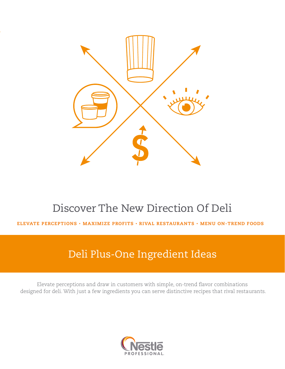

# Discover The New Direction Of Deli

ELEVATE PERCEPTIONS • MAXIMIZE PROFITS • RIVAL RESTAURANTS • MENU ON-TREND FOODS

## Deli Plus-One Ingredient Ideas

Elevate perceptions and draw in customers with simple, on-trend flavor combinations designed for deli. With just a few ingredients you can serve distinctive recipes that rival restaurants.

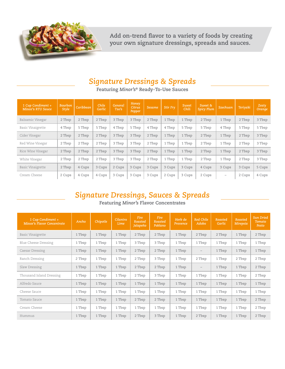

**Add on-trend flavor to a variety of foods by creating your own signature dressings, spreads and sauces.**

### *Signature Dressings & Spreads*

**Featuring** *Minor's***® Ready-To-Use Sauces**

| 1 Cup Condiment +<br><b>Minor's RTU Sauce</b> | <b>Bourbon</b><br>Style | Caribbean | Chile<br>Garlic | General<br>Tso's | <b>Honey</b><br>Citrus<br>Pepper | Sesame | <b>Stir Fry</b> | <b>Sweet</b><br>Chili | Sweet &<br><b>Spicy Plum</b> | <b>Szechuan</b>          | <b>Teriyaki</b> | Zesty<br><b>Orange</b> |
|-----------------------------------------------|-------------------------|-----------|-----------------|------------------|----------------------------------|--------|-----------------|-----------------------|------------------------------|--------------------------|-----------------|------------------------|
| Balsamic Vinegar                              | 2 Tbsp                  | 2 Tbsp    | 2 Tbsp          | 3 Tbsp           | 3 Tbsp                           | 2 Tbsp | 1 Tbsp          | 1 Tbsp                | 2 Tbsp                       | 1 Tbsp                   | 2 Tbsp          | 3 Tbsp                 |
| <b>Basic Vinaigrette</b>                      | 4 Tbsp                  | 5 Tbsp    | 5 Tbsp          | 4 Tbsp           | 5 Tbsp                           | 4 Tbsp | 4 Tbsp          | 5 Tbsp                | 5 Tbsp                       | 4 Tbsp                   | 5 Tbsp          | 5 Tbsp                 |
| Cider Vinegar                                 | 2 Tbsp                  | 2 Tbsp    | 2 Tbsp          | 3 Tbsp           | 3 Tbsp                           | 2 Tbsp | 1 Tbsp          | 1 Tbsp                | 2 Tbsp                       | 1 Tbsp                   | 2 Tbsp          | 3 Tbsp                 |
| Red Wine Vinegar                              | 2 Tbsp                  | 2 Tbsp    | 2 Tbsp          | 3 Tbsp           | 3 Tbsp                           | 2 Tbsp | 1 Tbsp          | 1 Tbsp                | 2 Tbsp                       | 1 Tbsp                   | 2 Tbsp          | 3 Tbsp                 |
| Rice Wine Vinegar                             | 2 Tbsp                  | 2 Tbsp    | 2 Tbsp          | 3 Tbsp           | 3 Tbsp                           | 2 Tbsp | 1 Tbsp          | 1 Tbsp                | 2 Tbsp                       | 1 Tbsp                   | 2 Tbsp          | 3 Tbsp                 |
| White Vinegar                                 | 2 Tbsp                  | 2 Tbsp    | 2 Tbsp          | 3 Tbsp           | 3 Tbsp                           | 2 Tbsp | 1 Tbsp          | 1 Tbsp                | 2 Tbsp                       | 1 Tbsp                   | 2 Tbsp          | 3 Tbsp                 |
| <b>Basic Vinaigrette</b>                      | 2 Tbsp                  | 4 Cups    | 3 Cups          | 2 Cups           | 3 Cups                           | 3 Cups | 3 Cups          | 3 Cups                | 4 Cups                       | 3 Cups                   | 3 Cups          | 5 Cups                 |
| Cream Cheese                                  | 2 Cups                  | 4 Cups    | 4 Cups          | 3 Cups           | 3 Cups                           | 3 Cups | 2 Cups          | 3 Cups                | 2 Cups                       | $\overline{\phantom{a}}$ | 2 Cups          | 4 Cups                 |

### *Signature Dressings, Sauces & Spreads*

**Featuring** *Minor's* **Flavor Concentrates** 

| 1 Cup Condiment +<br><b>Minor's Flavor Concentrate</b> | Ancho  | Chipotle | Cilantro<br>Lime | <b>Fire</b><br>Roasted<br>Jalapeño | Fire<br>Roasted<br>Poblano | Herb de<br>Provence | Red Chile<br>Adobo | Roasted<br>Garlic | Roasted<br>Mirepoix | <b>Sun Dried</b><br>Tomato<br>Pesto |
|--------------------------------------------------------|--------|----------|------------------|------------------------------------|----------------------------|---------------------|--------------------|-------------------|---------------------|-------------------------------------|
| <b>Basic Vinaigrette</b>                               | 1 Tbsp | 1 Tbsp   | 1 Tbsp           | 2 Tbsp                             | 2 Tbsp                     | 1 Tbsp              | 2 Tbsp             | 2 Tbsp            | 1 Tbsp              | 2 Tbsp                              |
| Blue Cheese Dressing                                   | 1 Tbsp | 1 Tbsp   | 1 Tbsp           | 3 Tbsp                             | 3 Tbsp                     | 1 Tbsp              | 1 Tbsp             | 1 Tbsp            | 1 Tbsp              | 1 Tbsp                              |
| Caesar Dressing                                        | 1 Tbsp | 1 Tbsp   | 1 Tbsp           | 2 Tbsp                             | 2 Tbsp                     | 1 Tbsp              | $\qquad \qquad -$  | 1 Tbsp            | 1 Tbsp              | 1 Tbsp                              |
| Ranch Dressing                                         | 2 Tbsp | 1 Tbsp   | 1 Tbsp           | 2 Tbsp                             | 3 Tbsp                     | 1 Tbsp              | 2 Tbsp             | 1 Tbsp            | 2 Tbsp              | 2 Tbsp                              |
| Slaw Dressing                                          | 1 Tbsp | 1 Tbsp   | 1 Tbsp           | 2 Tbsp                             | 2 Tbsp                     | 1 Tbsp              |                    | 1 Tbsp            | 1 Tbsp              | 2 Tbsp                              |
| Thousand Island Dressing                               | 1 Tbsp | 1 Tbsp   | 1 Tbsp           | 2 Tbsp                             | 3 Tbsp                     | 1 Tbsp              | 1 Tbsp             | 1 Tbsp            | 1 Tbsp              | 2 Tbsp                              |
| Alfredo Sauce                                          | 1 Tbsp | 1 Tbsp   | 1 Tbsp           | 1 Tbsp                             | 1 Tbsp                     | 1 Tbsp              | 1 Tbsp             | 1 Tbsp            | 1 Tbsp              | 1 Tbsp                              |
| Cheese Sauce                                           | 1 Tbsp | 1 Tbsp   | 1 Tbsp           | 1 Tbsp                             | 1 Tbsp                     | 1 Tbsp              | 1 Tbsp             | 1 Tbsp            | 1 Tbsp              | 1 Tbsp                              |
| Tomato Sauce                                           | 1 Tbsp | 1 Tbsp   | 1 Tbsp           | 2 Tbsp                             | 2 Tbsp                     | 1 Tbsp              | 1 Tbsp             | 1 Tbsp            | 1 Tbsp              | 2 Tbsp                              |
| Cream Cheese                                           | 1 Tbsp | 1 Tbsp   | 1 Tbsp           | 1 Tbsp                             | 1 Tbsp                     | 1 Tbsp              | 1 Tbsp             | 1 Tbsp            | 1 Tbsp              | 2 Tbsp                              |
| Hummus                                                 | 1 Tbsp | 1 Tbsp   | 1 Tbsp           | 2 Tbsp                             | 3 Tbsp                     | 1 Tbsp              | 2 Tbsp             | 1 Tbsp            | 1 Tbsp              | 2 Tbsp                              |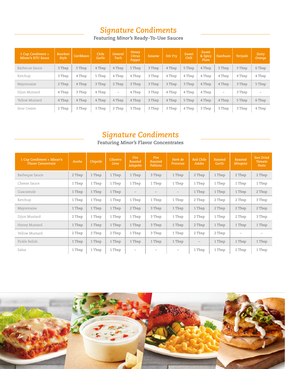#### *Signature Condiments*

**Featuring** *Minor's* **Ready-To-Use Sauces**

| 1 Cup Condiment +<br>Minor's RTU Sauce | <b>Bourbon</b><br>Style | <b>Caribbean</b> | Chile<br>Garlic | General<br>Tso's  | Honey<br>Citrus<br>Pepper | <b>Sesame</b> | Stir Fry | <b>Sweet</b><br>Chili | <b>Sweet</b><br>& Spicy<br>Plum | <b>Szechuan</b>          | Teriyaki | Zesty<br>Orange |
|----------------------------------------|-------------------------|------------------|-----------------|-------------------|---------------------------|---------------|----------|-----------------------|---------------------------------|--------------------------|----------|-----------------|
| Barbecue Sauce                         | 3 Tbsp                  | 5 Tbsp           | 4 Tbsp          | 4 Tbsp            | 5 Tbsp                    | 3 Tbsp        | 4 Tbsp   | 5 Tbsp                | 4 Tbsp                          | 5 Tbsp                   | 5 Tbsp   | 6 Tbsp          |
| Ketchup                                | 3 Tbsp                  | 4 Tbsp           | 5 Tbsp          | 4 Tbsp            | 4 Tbsp                    | 3 Tbsp        | 4 Tbsp   | 4 Tbsp                | 4 Tbsp                          | 4 Tbsp                   | 4 Tbsp   | 4 Tbsp          |
| Mayonnaise                             | 2 Tbsp                  | 4 Tbsp           | 3 Tbsp          | 2 Tbsp            | 3 Tbsp                    | 3 Tbsp        | 3 Tbsp   | 3 Tbsp                | 4 Tbsp                          | 4 Tbsp                   | 3 Tbsp   | 5 Tbsp          |
| Dijon Mustard                          | 4 Tbsp                  | 3 Tbsp           | 4 Tbsp          | $\qquad \qquad =$ | 4 Tbsp                    | 3 Tbsp        | 4 Tbsp   | 4 Tbsp                | 4 Tbsp                          | $\overline{\phantom{a}}$ | 3 Tbsp   |                 |
| Yellow Mustard                         | 4 Tbsp                  | 4 Tbsp           | 4 Tbsp          | 4 Tbsp            | 4 Tbsp                    | 3 Tbsp        | 4 Tbsp   | 5 Tbsp                | 4 Tbsp                          | 4 Tbsp                   | 5 Tbsp   | 6 Tbsp          |
| Sour Cream                             | 2 Tbsp                  | 3 Tbsp           | 3 Tbsp          | 2 Tbsp            | 3 Tbsp                    | 3 Tbsp        | 3 Tbsp   | 4 Tbsp                | 3 Tbsp                          | 3 Tbsp                   | 3 Tbsp   | 4 Tbsp          |

#### *Signature Condiments*

**Featuring** *Minor's* **Flavor Concentrates**

| 1 Cup Condiment + Minor's<br><b>Flavor Concentrate</b> | Ancho  | Chipotle | Cilantro<br>Lime | Fire<br>Roasted<br>Jalapeño | <b>Fire</b><br>Roasted<br>Poblano | Herb de<br>Provence | Red Chile<br>Adobo       | Roasted<br>Garlic | Roasted<br>Mirepoix | <b>Sun Dried</b><br>Tomato<br>Pesto |
|--------------------------------------------------------|--------|----------|------------------|-----------------------------|-----------------------------------|---------------------|--------------------------|-------------------|---------------------|-------------------------------------|
| Barbeque Sauce                                         | 2 Tbsp | 1 Tbsp   | 1 Tbsp           | 1 Tbsp                      | 3 Tbsp                            | 1 Tbsp              | 2 Tbsp                   | 1 Tbsp            | 2 Tbsp              | 2 Tbsp                              |
| Cheese Sauce                                           | 1 Tbsp | 1 Tbsp   | 1 Tbsp           | 1 Tbsp                      | 1 Tbsp                            | 1 Tbsp              | 1 Tbsp                   | 1 Tbsp            | 1 Tbsp              | 1 Tbsp                              |
| Guacamole                                              | 1 Tbsp | 1 Tbsp   | 1 Tbsp           | $\overline{\phantom{0}}$    |                                   |                     | 1 Tbsp                   | 1 Tbsp            | 1 Tbsp              | 2 Tbsp                              |
| Ketchup                                                | 1 Tbsp | 1 Tbsp   | 1 Tbsp           | 1 Tbsp                      | 1 Tbsp                            | 1 Tbsp              | 2 Tbsp                   | 2 Tbsp            | 2 Tbsp              | 3 Tbsp                              |
| Mayonnaise                                             | 1 Tbsp | 1 Tbsp   | 1 Tbsp           | 2 Tbsp                      | 3 Tbsp                            | 1 Tbsp              | 1 Tbsp                   | 2 Tbsp            | 2 Tbsp              | 2 Tbsp                              |
| Dijon Mustard                                          | 2 Tbsp | 1 Tbsp   | 1 Tbsp           | 1 Tbsp                      | 3 Tbsp                            | 1 Tbsp              | 2 Tbsp                   | 1 Tbsp            | 2 Tbsp              | 3 Tbsp                              |
| Honey Mustard                                          | 1 Tbsp | 1 Tbsp   | 1 Tbsp           | 1 Tbsp                      | 3 Tbsp                            | 1 Tbsp              | 2 Tbsp                   | 1 Tbsp            | 1 Tbsp              | 1 Tbsp                              |
| Yellow Mustard                                         | 2 Tbsp | 2 Tbsp   | 2 Tbsp           | 1 Tbsp                      | 3 Tbsp                            | 1 Tbsp              | 2 Tbsp                   | 2 Tbsp            | $\qquad \qquad -$   |                                     |
| Pickle Relish                                          | 1 Tbsp | 1 Tbsp   | 1 Tbsp           | 1 Tbsp                      | 1 Tbsp                            | 1 Tbsp              | $\overline{\phantom{m}}$ | 1 Tbsp            | 1 Tbsp              | 1 Tbsp                              |
| Salsa                                                  | 1 Tbsp | 1 Tbsp   | 1 Tbsp           | $\qquad \qquad -$           | -                                 |                     | 1 Tbsp                   | 1 Tbsp            | 2 Tbsp              | 1 Tbsp                              |